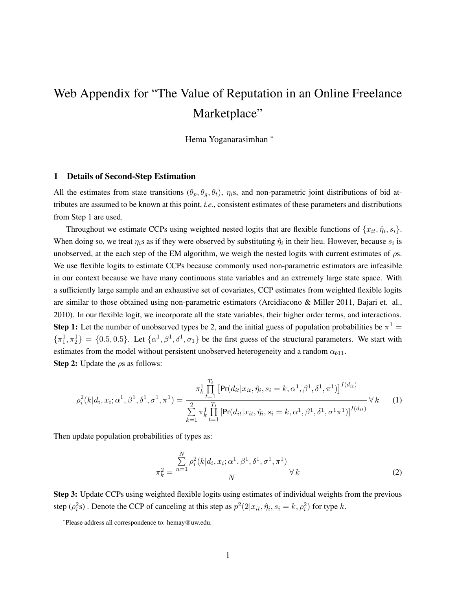# Web Appendix for "The Value of Reputation in an Online Freelance Marketplace"

Hema Yoganarasimhan <sup>∗</sup>

### <span id="page-0-0"></span>1 Details of Second-Step Estimation

All the estimates from state transitions  $(\theta_p, \theta_q, \theta_t)$ ,  $\eta_i$ s, and non-parametric joint distributions of bid attributes are assumed to be known at this point, *i.e.*, consistent estimates of these parameters and distributions from Step 1 are used.

Throughout we estimate CCPs using weighted nested logits that are flexible functions of  $\{x_{it}, \hat{\eta}_i, s_i\}$ . When doing so, we treat  $\eta_i$ s as if they were observed by substituting  $\hat{\eta}_i$  in their lieu. However, because  $s_i$  is unobserved, at the each step of the EM algorithm, we weigh the nested logits with current estimates of  $\rho s$ . We use flexible logits to estimate CCPs because commonly used non-parametric estimators are infeasible in our context because we have many continuous state variables and an extremely large state space. With a sufficiently large sample and an exhaustive set of covariates, CCP estimates from weighted flexible logits are similar to those obtained using non-parametric estimators (Arcidiacono & Miller 2011, Bajari et. al., 2010). In our flexible logit, we incorporate all the state variables, their higher order terms, and interactions. **Step 1:** Let the number of unobserved types be 2, and the initial guess of population probabilities be  $\pi^1$  =  $\{\pi_1^1, \pi_2^1\} = \{0.5, 0.5\}$ . Let  $\{\alpha^1, \beta^1, \delta^1, \sigma_1\}$  be the first guess of the structural parameters. We start with estimates from the model without persistent unobserved heterogeneity and a random  $\alpha_{b11}$ . **Step 2:** Update the  $\rho s$  as follows:

$$
\rho_i^2(k|d_i, x_i; \alpha^1, \beta^1, \delta^1, \sigma^1, \pi^1) = \frac{\pi_k^1 \prod_{t=1}^{T_i} \left[ \Pr(d_{it}|x_{it}, \hat{\eta}_i, s_i = k, \alpha^1, \beta^1, \delta^1, \pi^1) \right]^{I(d_{it})}}{\sum_{k=1}^{2} \pi_k^1 \prod_{t=1}^{T_i} \left[ \Pr(d_{it}|x_{it}, \hat{\eta}_i, s_i = k, \alpha^1, \beta^1, \delta^1, \sigma^1, \pi^1) \right]^{I(d_{it})}} \forall k
$$
(1)

Then update population probabilities of types as:

$$
\pi_k^2 = \frac{\sum_{n=1}^N \rho_i^2(k|d_i, x_i; \alpha^1, \beta^1, \delta^1, \sigma^1, \pi^1)}{N} \quad \forall k
$$
\n(2)

Step 3: Update CCPs using weighted flexible logits using estimates of individual weights from the previous step  $(\rho_i^2 s)$ . Denote the CCP of canceling at this step as  $p^2(2|x_{it}, \hat{\eta}_i, s_i = k, \rho_i^2)$  for type k.

<sup>∗</sup> Please address all correspondence to: hemay@uw.edu.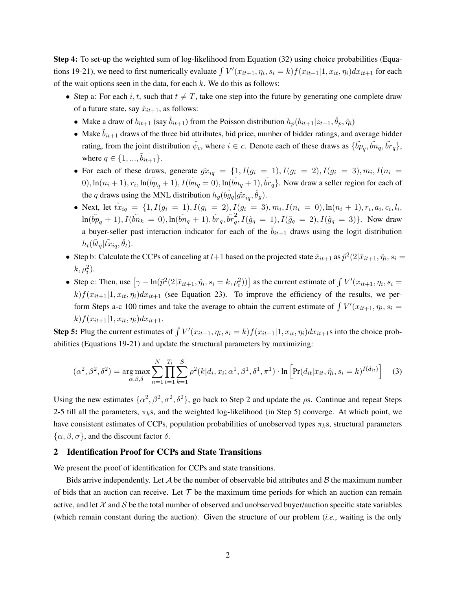Step 4: To set-up the weighted sum of log-likelihood from Equation (32) using choice probabilities (Equations 19-21), we need to first numerically evaluate  $\int V'(x_{it+1}, \eta_i, s_i = k) f(x_{it+1}|1, x_{it}, \eta_i) dx_{it+1}$  for each of the wait options seen in the data, for each  $k$ . We do this as follows:

- Step a: For each i, t, such that  $t \neq T$ , take one step into the future by generating one complete draw of a future state, say  $\tilde{x}_{it+1}$ , as follows:
	- Make a draw of  $b_{it+1}$  (say  $\tilde{b}_{it+1}$ ) from the Poisson distribution  $h_p(b_{it+1}|z_{t+1}, \hat{\theta}_p, \hat{\eta}_i)$
	- Make  $b_{it+1}$  draws of the three bid attributes, bid price, number of bidder ratings, and average bidder rating, from the joint distribution  $\hat{\psi}_c$ , where  $i \in c$ . Denote each of these draws as  $\{\tilde{bp}_q, \tilde{bn}_q, \tilde{br}_q\}$ , where  $q \in \{1, ..., \tilde{b}_{it+1}\}.$
	- For each of these draws, generate  $\tilde{gx}_{iq} = \{1, I(g_i = 1), I(g_i = 2), I(g_i = 3), m_i, I(n_i = 1)\}$ 0),  $\ln(n_i+1), r_i, \ln(\tilde{b}p_q+1), I(\tilde{b}n_q=0), \ln(\tilde{b}n_q+1), \tilde{b}n_q$ . Now draw a seller region for each of the q draws using the MNL distribution  $h_g(\tilde{b}g_q|\tilde{gx}_{iq}, \hat{\theta}_g)$ .
	- Next, let  $\tilde{x}_{iq} = \{1, I(g_i = 1), I(g_i = 2), I(g_i = 3), m_i, I(n_i = 0), \ln(n_i + 1), r_i, a_i, c_i, l_i,$  $\ln(\tilde{bp}_q + 1), I(\tilde{bn}_k = 0), \ln(\tilde{bn}_q + 1), \tilde{bn}_q, \tilde{bn}_q^2, I(\tilde{g}_q = 1), I(\tilde{g}_q = 2), I(\tilde{g}_q = 3)\}.$  Now draw a buyer-seller past interaction indicator for each of the  $\tilde{b}_{it+1}$  draws using the logit distribution  $h_t(\tilde{b}t_q|\tilde{tx}_{iq}, \hat{\theta}_t).$
- Step b: Calculate the CCPs of canceling at  $t+1$  based on the projected state  $\tilde{x}_{it+1}$  as  $\tilde{p}^2(2|\tilde{x}_{it+1}, \hat{\eta}_i, s_i)$  $k, \rho_i^2$ ).
- Step c: Then, use  $[\gamma \ln(\tilde{p}^2(2|\tilde{x}_{it+1}, \hat{\eta}_i, s_i = k, \rho_i^2))]$  as the current estimate of  $\int V'(x_{it+1}, \eta_i, s_i = k, \rho_i^2)$  $k) f(x_{it+1}|1, x_{it}, \eta_i) dx_{it+1}$  (see Equation 23). To improve the efficiency of the results, we perform Steps a-c 100 times and take the average to obtain the current estimate of  $\int V'(x_{it+1}, \eta_i, s_i)$  $k) f(x_{it+1}|1, x_{it}, \eta_i) dx_{it+1}.$

**Step 5:** Plug the current estimates of  $\int V'(x_{it+1}, \eta_i, s_i = k) f(x_{it+1}|1, x_{it}, \eta_i) dx_{it+1}$ s into the choice probabilities (Equations 19-21) and update the structural parameters by maximizing:

$$
(\alpha^2, \beta^2, \delta^2) = \underset{\alpha, \beta, \delta}{\arg \max} \sum_{n=1}^{N} \prod_{t=1}^{T_i} \sum_{k=1}^{S} \rho^2(k|d_i, x_i; \alpha^1, \beta^1, \delta^1, \pi^1) \cdot \ln \left[ \Pr(d_{it}|x_{it}, \hat{\eta}_i, s_i = k)^{I(d_{it})} \right] \tag{3}
$$

Using the new estimates  $\{\alpha^2, \beta^2, \sigma^2, \delta^2\}$ , go back to Step 2 and update the  $\rho$ s. Continue and repeat Steps 2-5 till all the parameters,  $\pi_k$ s, and the weighted log-likelihood (in Step 5) converge. At which point, we have consistent estimates of CCPs, population probabilities of unobserved types  $\pi_k$ s, structural parameters  $\{\alpha, \beta, \sigma\}$ , and the discount factor  $\delta$ .

## 2 Identification Proof for CCPs and State Transitions

We present the proof of identification for CCPs and state transitions.

Bids arrive independently. Let  $\mathcal A$  be the number of observable bid attributes and  $\mathcal B$  the maximum number of bids that an auction can receive. Let  $\mathcal T$  be the maximum time periods for which an auction can remain active, and let  $\mathcal X$  and  $\mathcal S$  be the total number of observed and unobserved buyer/auction specific state variables (which remain constant during the auction). Given the structure of our problem (*i.e.*, waiting is the only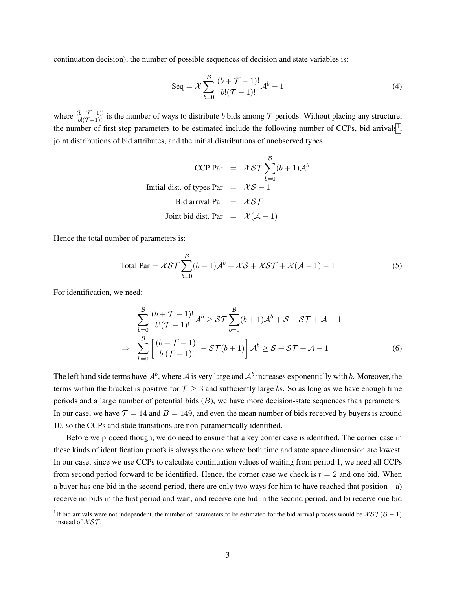continuation decision), the number of possible sequences of decision and state variables is:

$$
Seq = \mathcal{X} \sum_{b=0}^{\mathcal{B}} \frac{(b+\mathcal{T}-1)!}{b!(\mathcal{T}-1)!} \mathcal{A}^b - 1
$$
 (4)

where  $\frac{(b+\mathcal{T}-1)!}{b!(\mathcal{T}-1)!}$  is the number of ways to distribute b bids among  $\mathcal T$  periods. Without placing any structure, the number of first step parameters to be estimated include the following number of CCPs, bid arrivals<sup>[1](#page-2-0)</sup>, joint distributions of bid attributes, and the initial distributions of unobserved types:

$$
\text{CCP Par} = \mathcal{XST} \sum_{b=0}^{B} (b+1) \mathcal{A}^{b}
$$
\nInitial dist. of types Par =  $\mathcal{XS} - 1$ 

\nBid arrival Par =  $\mathcal{XST}$ 

\nJoint bid dist. Par =  $\mathcal{X}(\mathcal{A} - 1)$ 

Hence the total number of parameters is:

Total Par = 
$$
\mathcal{XST}\sum_{b=0}^{B} (b+1)\mathcal{A}^{b} + \mathcal{XS} + \mathcal{XST} + \mathcal{X}(\mathcal{A}-1) - 1
$$
 (5)

For identification, we need:

$$
\sum_{b=0}^{\mathcal{B}} \frac{(b+\mathcal{T}-1)!}{b!(\mathcal{T}-1)!} \mathcal{A}^b \geq \mathcal{ST} \sum_{b=0}^{\mathcal{B}} (b+1)\mathcal{A}^b + \mathcal{S} + \mathcal{ST} + \mathcal{A} - 1
$$
  

$$
\Rightarrow \sum_{b=0}^{\mathcal{B}} \left[ \frac{(b+\mathcal{T}-1)!}{b!(\mathcal{T}-1)!} - \mathcal{ST}(b+1) \right] \mathcal{A}^b \geq \mathcal{S} + \mathcal{ST} + \mathcal{A} - 1
$$
 (6)

The left hand side terms have  $\mathcal{A}^b$ , where  $\mathcal A$  is very large and  $\mathcal{A}^b$  increases exponentially with b. Moreover, the terms within the bracket is positive for  $T \geq 3$  and sufficiently large bs. So as long as we have enough time periods and a large number of potential bids  $(B)$ , we have more decision-state sequences than parameters. In our case, we have  $\mathcal{T} = 14$  and  $B = 149$ , and even the mean number of bids received by buyers is around 10, so the CCPs and state transitions are non-parametrically identified.

Before we proceed though, we do need to ensure that a key corner case is identified. The corner case in these kinds of identification proofs is always the one where both time and state space dimension are lowest. In our case, since we use CCPs to calculate continuation values of waiting from period 1, we need all CCPs from second period forward to be identified. Hence, the corner case we check is  $t = 2$  and one bid. When a buyer has one bid in the second period, there are only two ways for him to have reached that position – a) receive no bids in the first period and wait, and receive one bid in the second period, and b) receive one bid

<span id="page-2-0"></span><sup>&</sup>lt;sup>1</sup>If bid arrivals were not independent, the number of parameters to be estimated for the bid arrival process would be  $XST(B-1)$ instead of  $XST$ .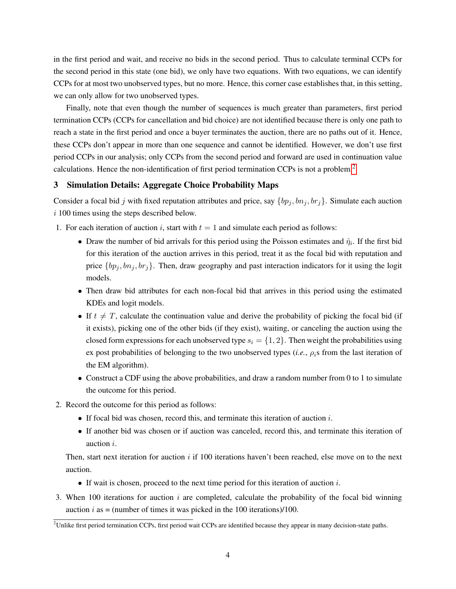in the first period and wait, and receive no bids in the second period. Thus to calculate terminal CCPs for the second period in this state (one bid), we only have two equations. With two equations, we can identify CCPs for at most two unobserved types, but no more. Hence, this corner case establishes that, in this setting, we can only allow for two unobserved types.

Finally, note that even though the number of sequences is much greater than parameters, first period termination CCPs (CCPs for cancellation and bid choice) are not identified because there is only one path to reach a state in the first period and once a buyer terminates the auction, there are no paths out of it. Hence, these CCPs don't appear in more than one sequence and cannot be identified. However, we don't use first period CCPs in our analysis; only CCPs from the second period and forward are used in continuation value calculations. Hence the non-identification of first period termination CCPs is not a problem.[2](#page-3-0)

# 3 Simulation Details: Aggregate Choice Probability Maps

Consider a focal bid j with fixed reputation attributes and price, say  $\{bp_i, bn_j, br_j\}$ . Simulate each auction i 100 times using the steps described below.

- 1. For each iteration of auction i, start with  $t = 1$  and simulate each period as follows:
	- Draw the number of bid arrivals for this period using the Poisson estimates and  $\hat{\eta}_i$ . If the first bid for this iteration of the auction arrives in this period, treat it as the focal bid with reputation and price  $\{bp_j, bn_j, br_j\}$ . Then, draw geography and past interaction indicators for it using the logit models.
	- Then draw bid attributes for each non-focal bid that arrives in this period using the estimated KDEs and logit models.
	- If  $t \neq T$ , calculate the continuation value and derive the probability of picking the focal bid (if it exists), picking one of the other bids (if they exist), waiting, or canceling the auction using the closed form expressions for each unobserved type  $s_i = \{1, 2\}$ . Then weight the probabilities using ex post probabilities of belonging to the two unobserved types  $(i.e., p_i)$ s from the last iteration of the EM algorithm).
	- Construct a CDF using the above probabilities, and draw a random number from 0 to 1 to simulate the outcome for this period.
- 2. Record the outcome for this period as follows:
	- If focal bid was chosen, record this, and terminate this iteration of auction  $i$ .
	- If another bid was chosen or if auction was canceled, record this, and terminate this iteration of auction i.

Then, start next iteration for auction i if 100 iterations haven't been reached, else move on to the next auction.

- If wait is chosen, proceed to the next time period for this iteration of auction  $i$ .
- 3. When 100 iterations for auction  $i$  are completed, calculate the probability of the focal bid winning auction i as  $=$  (number of times it was picked in the 100 iterations)/100.

<span id="page-3-0"></span><sup>&</sup>lt;sup>2</sup>Unlike first period termination CCPs, first period wait CCPs are identified because they appear in many decision-state paths.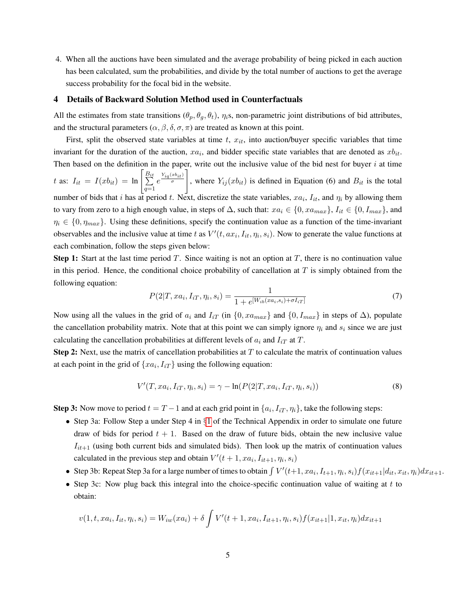4. When all the auctions have been simulated and the average probability of being picked in each auction has been calculated, sum the probabilities, and divide by the total number of auctions to get the average success probability for the focal bid in the website.

#### 4 Details of Backward Solution Method used in Counterfactuals

All the estimates from state transitions  $(\theta_p, \theta_q, \theta_t)$ ,  $\eta_i$ s, non-parametric joint distributions of bid attributes, and the structural parameters ( $\alpha$ ,  $\beta$ ,  $\delta$ ,  $\sigma$ ,  $\pi$ ) are treated as known at this point.

First, split the observed state variables at time t,  $x_{it}$ , into auction/buyer specific variables that time invariant for the duration of the auction,  $xa_i$ , and bidder specific state variables that are denoted as  $xb_{it}$ . Then based on the definition in the paper, write out the inclusive value of the bid nest for buyer  $i$  at time t as:  $I_{it} = I(xb_{it}) = \ln \left[ \frac{B_{it}}{\sum} \right]$  $q=1$  $e^{\frac{Y_{iq}(xb_{it})}{\sigma}}$ 1 , where  $Y_{ij}(xb_{it})$  is defined in Equation (6) and  $B_{it}$  is the total number of bids that i has at period t. Next, discretize the state variables,  $xa_i$ ,  $I_{it}$ , and  $\eta_i$  by allowing them to vary from zero to a high enough value, in steps of  $\Delta$ , such that:  $xa_i \in \{0, xa_{max}\}, I_{it} \in \{0, I_{max}\},$  and  $\eta_i \in \{0, \eta_{max}\}.$  Using these definitions, specify the continuation value as a function of the time-invariant observables and the inclusive value at time t as  $V'(t, ax_i, I_{it}, \eta_i, s_i)$ . Now to generate the value functions at each combination, follow the steps given below:

**Step 1:** Start at the last time period T. Since waiting is not an option at T, there is no continuation value in this period. Hence, the conditional choice probability of cancellation at  $T$  is simply obtained from the following equation:

$$
P(2|T, xa_i, I_{iT}, \eta_i, s_i) = \frac{1}{1 + e^{[W_{ib}(xa_i, s_i) + \sigma I_{iT}]}}
$$
(7)

Now using all the values in the grid of  $a_i$  and  $I_{iT}$  (in  $\{0, xa_{max}\}\$  and  $\{0, I_{max}\}\$ in steps of  $\Delta$ ), populate the cancellation probability matrix. Note that at this point we can simply ignore  $\eta_i$  and  $s_i$  since we are just calculating the cancellation probabilities at different levels of  $a_i$  and  $I_{iT}$  at  $T$ .

Step 2: Next, use the matrix of cancellation probabilities at  $T$  to calculate the matrix of continuation values at each point in the grid of  $\{xa_i, I_{iT}\}\$  using the following equation:

$$
V'(T, xa_i, I_{iT}, \eta_i, s_i) = \gamma - \ln(P(2|T, xa_i, I_{iT}, \eta_i, s_i))
$$
\n(8)

**Step 3:** Now move to period  $t = T - 1$  and at each grid point in  $\{a_i, I_{iT}, \eta_i\}$ , take the following steps:

- Step 3a: Follow Step a under Step 4 in §[1](#page-0-0) of the Technical Appendix in order to simulate one future draw of bids for period  $t + 1$ . Based on the draw of future bids, obtain the new inclusive value  $I_{it+1}$  (using both current bids and simulated bids). Then look up the matrix of continuation values calculated in the previous step and obtain  $V'(t+1, xa_i, I_{it+1}, \eta_i, s_i)$
- Step 3b: Repeat Step 3a for a large number of times to obtain  $\int V'(t+1, xa_i, I_{t+1}, \eta_i, s_i) f(x_{it+1}|d_{it}, x_{it}, \eta_i) dx_{it+1}$ .
- Step 3c: Now plug back this integral into the choice-specific continuation value of waiting at t to obtain:

$$
v(1, t, xa_i, I_{it}, \eta_i, s_i) = W_{iw}(xa_i) + \delta \int V'(t+1, xa_i, I_{it+1}, \eta_i, s_i) f(x_{it+1}|1, x_{it}, \eta_i) dx_{it+1}
$$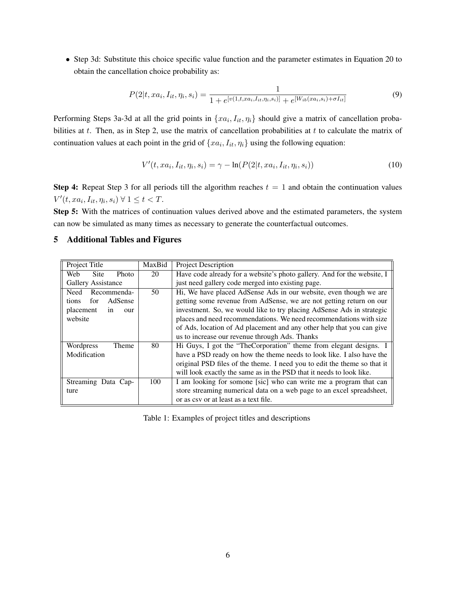• Step 3d: Substitute this choice specific value function and the parameter estimates in Equation 20 to obtain the cancellation choice probability as:

$$
P(2|t, xa_i, I_{it}, \eta_i, s_i) = \frac{1}{1 + e^{[v(1, t, xa_i, I_{it}, \eta_i, s_i)]} + e^{[W_{ib}(xa_i, s_i) + \sigma I_{it}]}}
$$
(9)

Performing Steps 3a-3d at all the grid points in  $\{xa_i, I_{it}, \eta_i\}$  should give a matrix of cancellation probabilities at  $t$ . Then, as in Step 2, use the matrix of cancellation probabilities at  $t$  to calculate the matrix of continuation values at each point in the grid of  $\{xa_i, I_{it}, \eta_i\}$  using the following equation:

$$
V'(t, xa_i, I_{it}, \eta_i, s_i) = \gamma - \ln(P(2|t, xa_i, I_{it}, \eta_i, s_i))
$$
\n(10)

**Step 4:** Repeat Step 3 for all periods till the algorithm reaches  $t = 1$  and obtain the continuation values  $V'(t, xa_i, I_{it}, \eta_i, s_i) \ \forall \ 1 \leq t < T.$ 

Step 5: With the matrices of continuation values derived above and the estimated parameters, the system can now be simulated as many times as necessary to generate the counterfactual outcomes.

| Project Title               | MaxBid | Project Description                                                      |  |  |
|-----------------------------|--------|--------------------------------------------------------------------------|--|--|
| Photo<br>Web<br><b>Site</b> | 20     | Have code already for a website's photo gallery. And for the website, I  |  |  |
| Gallery Assistance          |        | just need gallery code merged into existing page.                        |  |  |
| Need Recommenda-            | 50     | Hi, We have placed AdSense Ads in our website, even though we are        |  |  |
| AdSense<br>for<br>tions     |        | getting some revenue from AdSense, we are not getting return on our      |  |  |
| placement<br>in<br>our      |        | investment. So, we would like to try placing AdSense Ads in strategic    |  |  |
| website                     |        | places and need recommendations. We need recommendations with size       |  |  |
|                             |        | of Ads, location of Ad placement and any other help that you can give    |  |  |
|                             |        | us to increase our revenue through Ads. Thanks                           |  |  |
| Wordpress<br>Theme          | 80     | Hi Guys, I got the "TheCorporation" theme from elegant designs. I        |  |  |
| Modification                |        | have a PSD ready on how the theme needs to look like. I also have the    |  |  |
|                             |        | original PSD files of the theme. I need you to edit the theme so that it |  |  |
|                             |        | will look exactly the same as in the PSD that it needs to look like.     |  |  |
| Streaming Data Cap-         | 100    | I am looking for somone [sic] who can write me a program that can        |  |  |
| ture                        |        | store streaming numerical data on a web page to an excel spreadsheet,    |  |  |
|                             |        | or as csy or at least as a text file.                                    |  |  |

## 5 Additional Tables and Figures

Table 1: Examples of project titles and descriptions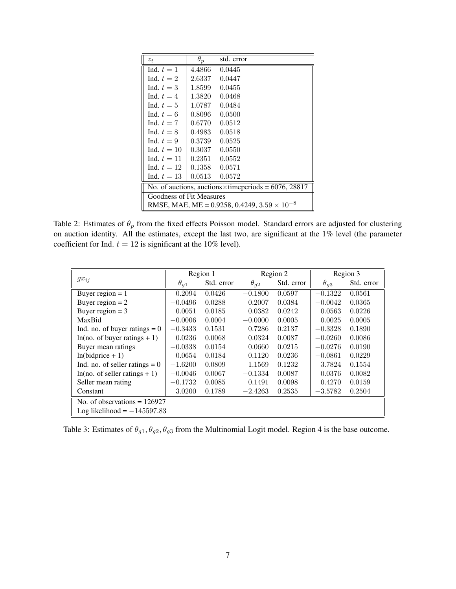| $z_t$                                                        | $\theta_p$ | std. error |  |  |  |
|--------------------------------------------------------------|------------|------------|--|--|--|
| Ind. $t=1$                                                   | 4.4866     | 0.0445     |  |  |  |
| Ind. $t=2$                                                   | 2.6337     | 0.0447     |  |  |  |
| Ind. $t=3$                                                   | 1.8599     | 0.0455     |  |  |  |
| Ind. $t=4$                                                   | 1.3820     | 0.0468     |  |  |  |
| Ind. $t=5$                                                   | 1.0787     | 0.0484     |  |  |  |
| Ind. $t=6$                                                   | 0.8096     | 0.0500     |  |  |  |
| Ind. $t=7$                                                   | 0.6770     | 0.0512     |  |  |  |
| Ind. $t=8$                                                   | 0.4983     | 0.0518     |  |  |  |
| Ind. $t=9$                                                   | 0.3739     | 0.0525     |  |  |  |
| Ind. $t=10$                                                  | 0.3037     | 0.0550     |  |  |  |
| Ind. $t=11$                                                  | 0.2351     | 0.0552     |  |  |  |
| Ind. $t=12$                                                  | 0.1358     | 0.0571     |  |  |  |
| Ind. $t=13$                                                  | 0.0513     | 0.0572     |  |  |  |
| No. of auctions, auctions $\times$ timeperiods = 6076, 28817 |            |            |  |  |  |
| Goodness of Fit Measures                                     |            |            |  |  |  |
| RMSE, MAE, ME = 0.9258, 0.4249, $3.59 \times 10^{-8}$        |            |            |  |  |  |

Table 2: Estimates of  $\theta_p$  from the fixed effects Poisson model. Standard errors are adjusted for clustering on auction identity. All the estimates, except the last two, are significant at the 1% level (the parameter coefficient for Ind.  $t = 12$  is significant at the 10% level).

|                                  | Region 1      |            | Region 2      |            | Region 3      |            |
|----------------------------------|---------------|------------|---------------|------------|---------------|------------|
| $gx_{ii}$                        | $\theta_{g1}$ | Std. error | $\theta_{g2}$ | Std. error | $\theta_{g3}$ | Std. error |
| Buyer region = $1$               | 0.2094        | 0.0426     | $-0.1800$     | 0.0597     | $-0.1322$     | 0.0561     |
| Buyer region $= 2$               | $-0.0496$     | 0.0288     | 0.2007        | 0.0384     | $-0.0042$     | 0.0365     |
| Buyer region $=$ 3               | 0.0051        | 0.0185     | 0.0382        | 0.0242     | 0.0563        | 0.0226     |
| MaxBid                           | $-0.0006$     | 0.0004     | $-0.0000$     | 0.0005     | 0.0025        | 0.0005     |
| Ind. no. of buyer ratings $= 0$  | $-0.3433$     | 0.1531     | 0.7286        | 0.2137     | $-0.3328$     | 0.1890     |
| $ln(no. of buyer ratings + 1)$   | 0.0236        | 0.0068     | 0.0324        | 0.0087     | $-0.0260$     | 0.0086     |
| Buyer mean ratings               | $-0.0338$     | 0.0154     | 0.0660        | 0.0215     | $-0.0276$     | 0.0190     |
| $ln(bidprice + 1)$               | 0.0654        | 0.0184     | 0.1120        | 0.0236     | $-0.0861$     | 0.0229     |
| Ind. no. of seller ratings $= 0$ | $-1.6200$     | 0.0809     | 1.1569        | 0.1232     | 3.7824        | 0.1554     |
| $ln(no. of seller ratings + 1)$  | $-0.0046$     | 0.0067     | $-0.1334$     | 0.0087     | 0.0376        | 0.0082     |
| Seller mean rating               | $-0.1732$     | 0.0085     | 0.1491        | 0.0098     | 0.4270        | 0.0159     |
| Constant                         | 3.0200        | 0.1789     | $-2.4263$     | 0.2535     | $-3.5782$     | 0.2504     |
| No. of observations = $126927$   |               |            |               |            |               |            |
| Log likelihood = $-145597.83$    |               |            |               |            |               |            |

Table 3: Estimates of  $\theta_{g1}, \theta_{g2}, \theta_{g3}$  from the Multinomial Logit model. Region 4 is the base outcome.